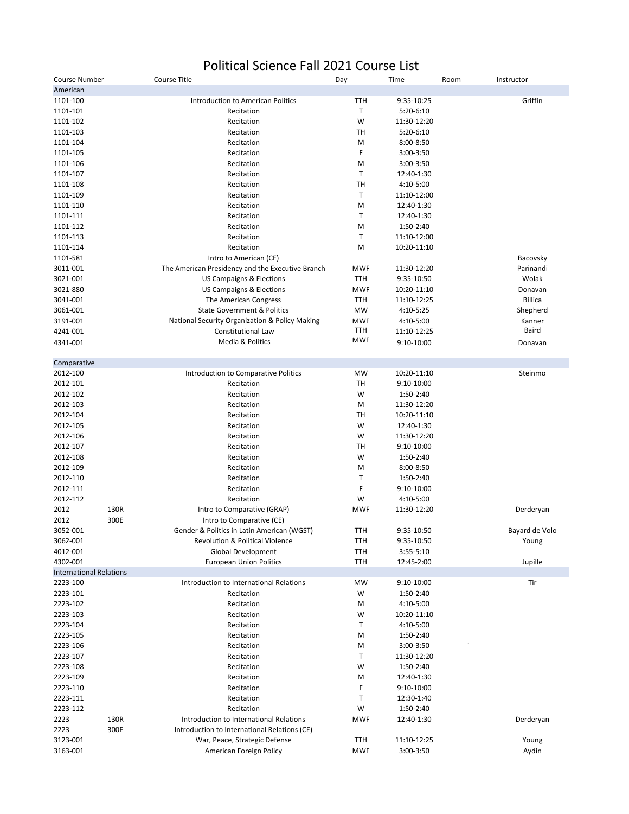## Political Science Fall 2021 Course List

| Course Number                  |      | Course Title                                     | Day        | Time        | Room | Instructor     |
|--------------------------------|------|--------------------------------------------------|------------|-------------|------|----------------|
| American                       |      |                                                  |            |             |      |                |
| 1101-100                       |      | Introduction to American Politics                | <b>TTH</b> | 9:35-10:25  |      | Griffin        |
| 1101-101                       |      | Recitation                                       | Τ          | $5:20-6:10$ |      |                |
| 1101-102                       |      | Recitation                                       | W          | 11:30-12:20 |      |                |
| 1101-103                       |      | Recitation                                       | TH         | $5:20-6:10$ |      |                |
| 1101-104                       |      | Recitation                                       | M          | 8:00-8:50   |      |                |
| 1101-105                       |      | Recitation                                       | F          | 3:00-3:50   |      |                |
| 1101-106                       |      | Recitation                                       | M          | 3:00-3:50   |      |                |
| 1101-107                       |      | Recitation                                       | Τ          | 12:40-1:30  |      |                |
| 1101-108                       |      | Recitation                                       | TH         | 4:10-5:00   |      |                |
| 1101-109                       |      | Recitation                                       | Т          | 11:10-12:00 |      |                |
| 1101-110                       |      | Recitation                                       | M          | 12:40-1:30  |      |                |
| 1101-111                       |      | Recitation                                       | T          | 12:40-1:30  |      |                |
| 1101-112                       |      |                                                  | M          | 1:50-2:40   |      |                |
|                                |      | Recitation                                       |            |             |      |                |
| 1101-113                       |      | Recitation                                       | Τ          | 11:10-12:00 |      |                |
| 1101-114                       |      | Recitation                                       | M          | 10:20-11:10 |      |                |
| 1101-581                       |      | Intro to American (CE)                           |            |             |      | Bacovsky       |
| 3011-001                       |      | The American Presidency and the Executive Branch | <b>MWF</b> | 11:30-12:20 |      | Parinandi      |
| 3021-001                       |      | US Campaigns & Elections                         | <b>TTH</b> | 9:35-10:50  |      | Wolak          |
| 3021-880                       |      | <b>US Campaigns &amp; Elections</b>              | <b>MWF</b> | 10:20-11:10 |      | Donavan        |
| 3041-001                       |      | The American Congress                            | <b>TTH</b> | 11:10-12:25 |      | <b>Billica</b> |
| 3061-001                       |      | <b>State Government &amp; Politics</b>           | <b>MW</b>  | 4:10-5:25   |      | Shepherd       |
| 3191-001                       |      | National Security Organization & Policy Making   | <b>MWF</b> | 4:10-5:00   |      | Kanner         |
| 4241-001                       |      | Constitutional Law                               | TTH        | 11:10-12:25 |      | Baird          |
| 4341-001                       |      | Media & Politics                                 | <b>MWF</b> | 9:10-10:00  |      | Donavan        |
|                                |      |                                                  |            |             |      |                |
| Comparative<br>2012-100        |      |                                                  | <b>MW</b>  | 10:20-11:10 |      | Steinmo        |
|                                |      | Introduction to Comparative Politics             |            |             |      |                |
| 2012-101                       |      | Recitation                                       | TH         | 9:10-10:00  |      |                |
| 2012-102                       |      | Recitation                                       | W          | 1:50-2:40   |      |                |
| 2012-103                       |      | Recitation                                       | M          | 11:30-12:20 |      |                |
| 2012-104                       |      | Recitation                                       | TH         | 10:20-11:10 |      |                |
| 2012-105                       |      | Recitation                                       | W          | 12:40-1:30  |      |                |
| 2012-106                       |      | Recitation                                       | W          | 11:30-12:20 |      |                |
| 2012-107                       |      | Recitation                                       | TH         | 9:10-10:00  |      |                |
| 2012-108                       |      | Recitation                                       | W          | 1:50-2:40   |      |                |
| 2012-109                       |      | Recitation                                       | M          | 8:00-8:50   |      |                |
| 2012-110                       |      | Recitation                                       | Т          | 1:50-2:40   |      |                |
| 2012-111                       |      | Recitation                                       | F          | 9:10-10:00  |      |                |
| 2012-112                       |      | Recitation                                       | W          | 4:10-5:00   |      |                |
| 2012                           | 130R | Intro to Comparative (GRAP)                      | <b>MWF</b> | 11:30-12:20 |      | Derderyan      |
| 2012                           | 300E | Intro to Comparative (CE)                        |            |             |      |                |
| 3052-001                       |      | Gender & Politics in Latin American (WGST)       | <b>TTH</b> | 9:35-10:50  |      | Bayard de Volo |
| 3062-001                       |      | <b>Revolution &amp; Political Violence</b>       | TTH        |             |      |                |
|                                |      |                                                  |            | 9:35-10:50  |      | Young          |
| 4012-001<br>4302-001           |      | Global Development                               | TTH        | 3:55-5:10   |      |                |
| <b>International Relations</b> |      | <b>European Union Politics</b>                   | TTH        | 12:45-2:00  |      | Jupille        |
| 2223-100                       |      | Introduction to International Relations          | <b>MW</b>  | 9:10-10:00  |      | Tir            |
| 2223-101                       |      | Recitation                                       | W          | 1:50-2:40   |      |                |
| 2223-102                       |      | Recitation                                       | M          | 4:10-5:00   |      |                |
|                                |      |                                                  |            |             |      |                |
| 2223-103                       |      | Recitation                                       | W          | 10:20-11:10 |      |                |
| 2223-104                       |      | Recitation                                       | Τ          | 4:10-5:00   |      |                |
| 2223-105                       |      | Recitation                                       | M          | 1:50-2:40   |      |                |
| 2223-106                       |      | Recitation                                       | M          | 3:00-3:50   |      |                |
| 2223-107                       |      | Recitation                                       | Τ          | 11:30-12:20 |      |                |
| 2223-108                       |      | Recitation                                       | W          | 1:50-2:40   |      |                |
| 2223-109                       |      | Recitation                                       | M          | 12:40-1:30  |      |                |
| 2223-110                       |      | Recitation                                       | F          | 9:10-10:00  |      |                |
| 2223-111                       |      | Recitation                                       | Τ          | 12:30-1:40  |      |                |
| 2223-112                       |      | Recitation                                       | W          | 1:50-2:40   |      |                |
| 2223                           | 130R | Introduction to International Relations          | <b>MWF</b> | 12:40-1:30  |      | Derderyan      |
| 2223                           | 300E | Introduction to International Relations (CE)     |            |             |      |                |
| 3123-001                       |      | War, Peace, Strategic Defense                    | <b>TTH</b> | 11:10-12:25 |      | Young          |
| 3163-001                       |      | American Foreign Policy                          | <b>MWF</b> | 3:00-3:50   |      | Aydin          |
|                                |      |                                                  |            |             |      |                |